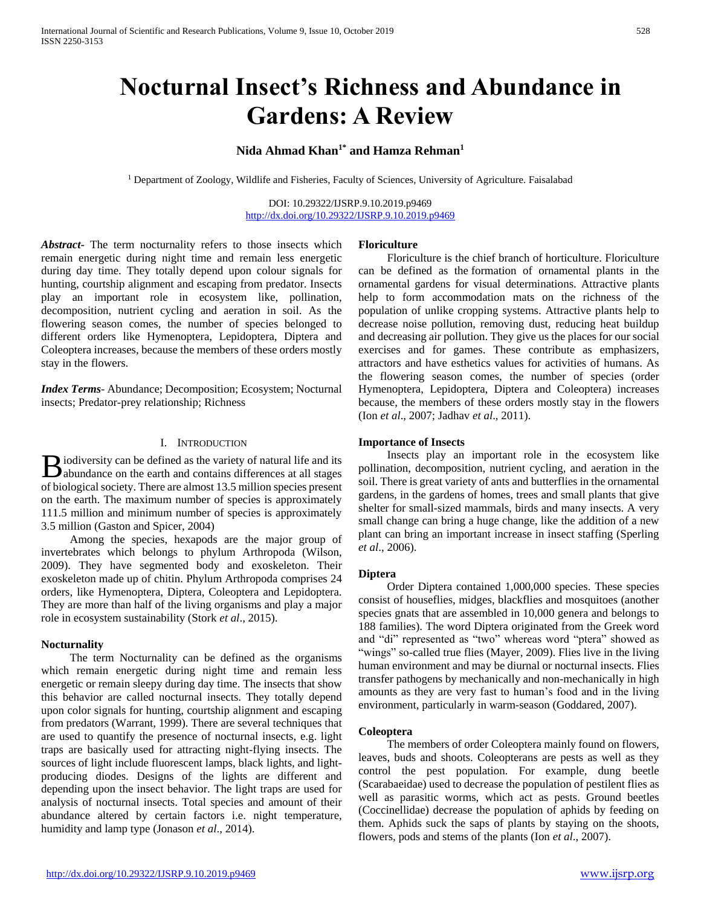# **Nocturnal Insect's Richness and Abundance in Gardens: A Review**

# **Nida Ahmad Khan1\* and Hamza Rehman<sup>1</sup>**

<sup>1</sup> Department of Zoology, Wildlife and Fisheries, Faculty of Sciences, University of Agriculture. Faisalabad

DOI: 10.29322/IJSRP.9.10.2019.p9469 <http://dx.doi.org/10.29322/IJSRP.9.10.2019.p9469>

*Abstract***-** The term nocturnality refers to those insects which remain energetic during night time and remain less energetic during day time. They totally depend upon colour signals for hunting, courtship alignment and escaping from predator. Insects play an important role in ecosystem like, pollination, decomposition, nutrient cycling and aeration in soil. As the flowering season comes, the number of species belonged to different orders like Hymenoptera, Lepidoptera, Diptera and Coleoptera increases, because the members of these orders mostly stay in the flowers.

*Index Terms*- Abundance; Decomposition; Ecosystem; Nocturnal insects; Predator-prey relationship; Richness

# I. INTRODUCTION

iodiversity can be defined as the variety of natural life and its **B** iodiversity can be defined as the variety of natural life and its abundance on the earth and contains differences at all stages of biological society. There are almost 13.5 million species present on the earth. The maximum number of species is approximately 111.5 million and minimum number of species is approximately 3.5 million (Gaston and Spicer, 2004)

 Among the species, hexapods are the major group of invertebrates which belongs to phylum Arthropoda (Wilson, 2009). They have segmented body and exoskeleton. Their exoskeleton made up of chitin. Phylum Arthropoda comprises 24 orders, like Hymenoptera, Diptera, Coleoptera and Lepidoptera. They are more than half of the living organisms and play a major role in ecosystem sustainability (Stork *et al*., 2015).

## **Nocturnality**

 The term Nocturnality can be defined as the organisms which remain energetic during night time and remain less energetic or remain sleepy during day time. The insects that show this behavior are called nocturnal insects. They totally depend upon color signals for hunting, courtship alignment and escaping from predators (Warrant, 1999). There are several techniques that are used to quantify the presence of nocturnal insects, e.g. light traps are basically used for attracting night-flying insects. The sources of light include fluorescent lamps, black lights, and lightproducing diodes. Designs of the lights are different and depending upon the insect behavior. The light traps are used for analysis of nocturnal insects. Total species and amount of their abundance altered by certain factors i.e. night temperature, humidity and lamp type (Jonason *et al*., 2014).

# **Floriculture**

 Floriculture is the chief branch of horticulture. Floriculture can be defined as the formation of ornamental plants in the ornamental gardens for visual determinations. Attractive plants help to form accommodation mats on the richness of the population of unlike cropping systems. Attractive plants help to decrease noise pollution, removing dust, reducing heat buildup and decreasing air pollution. They give us the places for our social exercises and for games. These contribute as emphasizers, attractors and have esthetics values for activities of humans. As the flowering season comes, the number of species (order Hymenoptera, Lepidoptera, Diptera and Coleoptera) increases because, the members of these orders mostly stay in the flowers (Ion *et al*., 2007; Jadhav *et al*., 2011).

# **Importance of Insects**

 Insects play an important role in the ecosystem like pollination, decomposition, nutrient cycling, and aeration in the soil. There is great variety of ants and butterflies in the ornamental gardens, in the gardens of homes, trees and small plants that give shelter for small-sized mammals, birds and many insects. A very small change can bring a huge change, like the addition of a new plant can bring an important increase in insect staffing (Sperling *et al*., 2006).

## **Diptera**

 Order Diptera contained 1,000,000 species. These species consist of houseflies, midges, blackflies and mosquitoes (another species gnats that are assembled in 10,000 genera and belongs to 188 families). The word Diptera originated from the Greek word and "di" represented as "two" whereas word "ptera" showed as "wings" so-called true flies (Mayer, 2009). Flies live in the living human environment and may be diurnal or nocturnal insects. Flies transfer pathogens by mechanically and non-mechanically in high amounts as they are very fast to human's food and in the living environment, particularly in warm-season (Goddared, 2007).

## **Coleoptera**

 The members of order Coleoptera mainly found on flowers, leaves, buds and shoots. Coleopterans are pests as well as they control the pest population. For example, dung beetle (Scarabaeidae) used to decrease the population of pestilent flies as well as parasitic worms, which act as pests. Ground beetles (Coccinellidae) decrease the population of aphids by feeding on them. Aphids suck the saps of plants by staying on the shoots, flowers, pods and stems of the plants (Ion *et al*., 2007).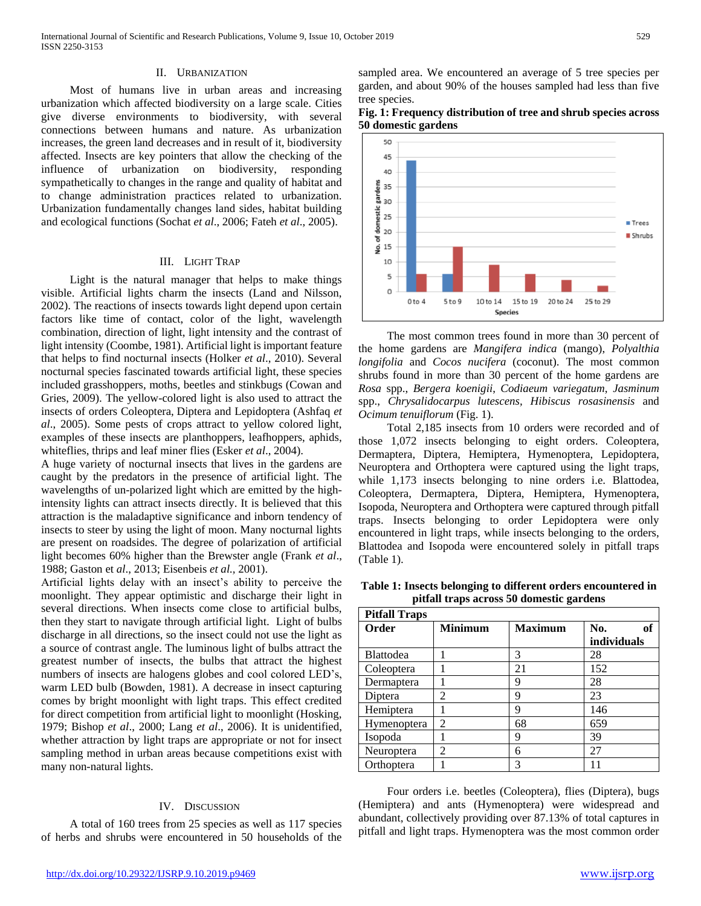#### II. URBANIZATION

 Most of humans live in urban areas and increasing urbanization which affected biodiversity on a large scale. Cities give diverse environments to biodiversity, with several connections between humans and nature. As urbanization increases, the green land decreases and in result of it, biodiversity affected. Insects are key pointers that allow the checking of the influence of urbanization on biodiversity, responding sympathetically to changes in the range and quality of habitat and to change administration practices related to urbanization. Urbanization fundamentally changes land sides, habitat building and ecological functions (Sochat *et al*., 2006; Fateh *et al*., 2005).

# III. LIGHT TRAP

 Light is the natural manager that helps to make things visible. Artificial lights charm the insects (Land and Nilsson, 2002). The reactions of insects towards light depend upon certain factors like time of contact, color of the light, wavelength combination, direction of light, light intensity and the contrast of light intensity (Coombe, 1981). Artificial light is important feature that helps to find nocturnal insects (Holker *et al*., 2010). Several nocturnal species fascinated towards artificial light, these species included grasshoppers, moths, beetles and stinkbugs (Cowan and Gries, 2009). The yellow-colored light is also used to attract the insects of orders Coleoptera, Diptera and Lepidoptera (Ashfaq *et al*., 2005). Some pests of crops attract to yellow colored light, examples of these insects are planthoppers, leafhoppers, aphids, whiteflies, thrips and leaf miner flies (Esker *et al*., 2004).

A huge variety of nocturnal insects that lives in the gardens are caught by the predators in the presence of artificial light. The wavelengths of un-polarized light which are emitted by the highintensity lights can attract insects directly. It is believed that this attraction is the maladaptive significance and inborn tendency of insects to steer by using the light of moon. Many nocturnal lights are present on roadsides. The degree of polarization of artificial light becomes 60% higher than the Brewster angle (Frank *et al*., 1988; Gaston et *al*., 2013; Eisenbeis *et al.,* 2001).

Artificial lights delay with an insect's ability to perceive the moonlight. They appear optimistic and discharge their light in several directions. When insects come close to artificial bulbs, then they start to navigate through artificial light. Light of bulbs discharge in all directions, so the insect could not use the light as a source of contrast angle. The luminous light of bulbs attract the greatest number of insects, the bulbs that attract the highest numbers of insects are halogens globes and cool colored LED's, warm LED bulb (Bowden, 1981). A decrease in insect capturing comes by bright moonlight with light traps. This effect credited for direct competition from artificial light to moonlight (Hosking, 1979; Bishop *et al*., 2000; Lang *et al*., 2006). It is unidentified, whether attraction by light traps are appropriate or not for insect sampling method in urban areas because competitions exist with many non-natural lights.

# IV. DISCUSSION

 A total of 160 trees from 25 species as well as 117 species of herbs and shrubs were encountered in 50 households of the sampled area. We encountered an average of 5 tree species per garden, and about 90% of the houses sampled had less than five tree species.





 The most common trees found in more than 30 percent of the home gardens are *Mangifera indica* (mango), *Polyalthia longifolia* and *Cocos nucifera* (coconut). The most common shrubs found in more than 30 percent of the home gardens are *Rosa* spp., *Bergera koenigii*, *Codiaeum variegatum*, *Jasminum*  spp., *Chrysalidocarpus lutescens, Hibiscus rosasinensis* and *Ocimum tenuiflorum* (Fig. 1).

 Total 2,185 insects from 10 orders were recorded and of those 1,072 insects belonging to eight orders. Coleoptera, Dermaptera, Diptera, Hemiptera, Hymenoptera, Lepidoptera, Neuroptera and Orthoptera were captured using the light traps, while 1,173 insects belonging to nine orders i.e. Blattodea, Coleoptera, Dermaptera, Diptera, Hemiptera, Hymenoptera, Isopoda, Neuroptera and Orthoptera were captured through pitfall traps. Insects belonging to order Lepidoptera were only encountered in light traps, while insects belonging to the orders, Blattodea and Isopoda were encountered solely in pitfall traps (Table 1).

| Table 1: Insects belonging to different orders encountered in<br>pitfall traps across 50 domestic gardens |  |  |  |  |
|-----------------------------------------------------------------------------------------------------------|--|--|--|--|
| <b>Pitfall Traps</b>                                                                                      |  |  |  |  |
|                                                                                                           |  |  |  |  |

| гциан тгару      |                |                |             |
|------------------|----------------|----------------|-------------|
| Order            | <b>Minimum</b> | <b>Maximum</b> | of<br>No.   |
|                  |                |                | individuals |
| <b>Blattodea</b> |                | 3              | 28          |
| Coleoptera       |                | 21             | 152         |
| Dermaptera       |                | 9              | 28          |
| Diptera          | 2              | 9              | 23          |
| Hemiptera        |                | 9              | 146         |
| Hymenoptera      | $\mathfrak{D}$ | 68             | 659         |
| Isopoda          |                | 9              | 39          |
| Neuroptera       | 2              | 6              | 27          |
| Orthoptera       |                | 3              |             |

 Four orders i.e. beetles (Coleoptera), flies (Diptera), bugs (Hemiptera) and ants (Hymenoptera) were widespread and abundant, collectively providing over 87.13% of total captures in pitfall and light traps. Hymenoptera was the most common order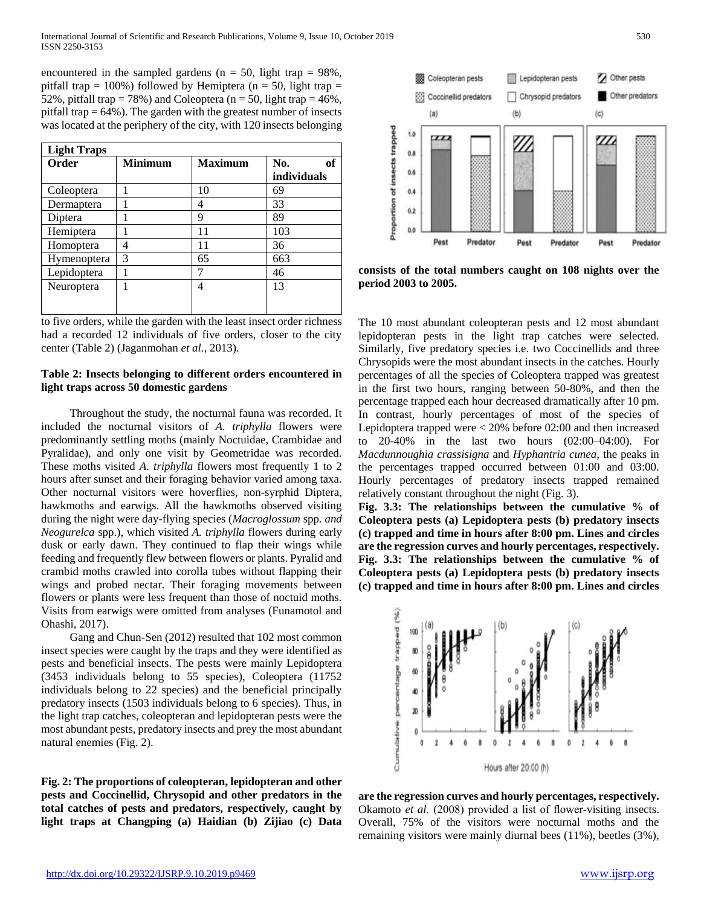encountered in the sampled gardens ( $n = 50$ , light trap = 98%, pitfall trap = 100%) followed by Hemiptera ( $n = 50$ , light trap = 52%, pitfall trap = 78%) and Coleoptera ( $n = 50$ , light trap = 46%, pitfall trap  $= 64\%$ ). The garden with the greatest number of insects was located at the periphery of the city, with 120 insects belonging

| <b>Light Traps</b> |                |                |                          |  |
|--------------------|----------------|----------------|--------------------------|--|
| <b>Order</b>       | <b>Minimum</b> | <b>Maximum</b> | No.<br>of<br>individuals |  |
| Coleoptera         |                | 10             | 69                       |  |
| Dermaptera         |                | 4              | 33                       |  |
| Diptera            |                | 9              | 89                       |  |
| Hemiptera          |                | 11             | 103                      |  |
| Homoptera          | 4              | 11             | 36                       |  |
| Hymenoptera        | 3              | 65             | 663                      |  |
| Lepidoptera        |                |                | 46                       |  |
| Neuroptera         |                | 4              | 13                       |  |

to five orders, while the garden with the least insect order richness had a recorded 12 individuals of five orders, closer to the city center (Table 2) (Jaganmohan *et al.,* 2013).

# **Table 2: Insects belonging to different orders encountered in light traps across 50 domestic gardens**

 Throughout the study, the nocturnal fauna was recorded. It included the nocturnal visitors of *A. triphylla* flowers were predominantly settling moths (mainly Noctuidae, Crambidae and Pyralidae), and only one visit by Geometridae was recorded. These moths visited *A. triphylla* flowers most frequently 1 to 2 hours after sunset and their foraging behavior varied among taxa. Other nocturnal visitors were hoverflies, non-syrphid Diptera, hawkmoths and earwigs. All the hawkmoths observed visiting during the night were day-flying species (*Macroglossum* spp*. and Neogurelca* spp.), which visited *A. triphylla* flowers during early dusk or early dawn. They continued to flap their wings while feeding and frequently flew between flowers or plants. Pyralid and crambid moths crawled into corolla tubes without flapping their wings and probed nectar. Their foraging movements between flowers or plants were less frequent than those of noctuid moths. Visits from earwigs were omitted from analyses (Funamotol and Ohashi, 2017).

 Gang and Chun-Sen (2012) resulted that 102 most common insect species were caught by the traps and they were identified as pests and beneficial insects. The pests were mainly Lepidoptera (3453 individuals belong to 55 species), Coleoptera (11752 individuals belong to 22 species) and the beneficial principally predatory insects (1503 individuals belong to 6 species). Thus, in the light trap catches, coleopteran and lepidopteran pests were the most abundant pests, predatory insects and prey the most abundant natural enemies (Fig. 2).

**Fig. 2: The proportions of coleopteran, lepidopteran and other pests and Coccinellid, Chrysopid and other predators in the total catches of pests and predators, respectively, caught by light traps at Changping (a) Haidian (b) Zijiao (c) Data** 



**consists of the total numbers caught on 108 nights over the period 2003 to 2005.**

The 10 most abundant coleopteran pests and 12 most abundant lepidopteran pests in the light trap catches were selected. Similarly, five predatory species i.e. two Coccinellids and three Chrysopids were the most abundant insects in the catches. Hourly percentages of all the species of Coleoptera trapped was greatest in the first two hours, ranging between 50-80%, and then the percentage trapped each hour decreased dramatically after 10 pm. In contrast, hourly percentages of most of the species of Lepidoptera trapped were < 20% before 02:00 and then increased to 20-40% in the last two hours (02:00–04:00). For *Macdunnoughia crassisigna* and *Hyphantria cunea*, the peaks in the percentages trapped occurred between 01:00 and 03:00. Hourly percentages of predatory insects trapped remained relatively constant throughout the night (Fig. 3).

**Fig. 3.3: The relationships between the cumulative % of Coleoptera pests (a) Lepidoptera pests (b) predatory insects (c) trapped and time in hours after 8:00 pm. Lines and circles are the regression curves and hourly percentages, respectively. Fig. 3.3: The relationships between the cumulative % of Coleoptera pests (a) Lepidoptera pests (b) predatory insects (c) trapped and time in hours after 8:00 pm. Lines and circles** 



**are the regression curves and hourly percentages, respectively.** Okamoto *et al.* (2008) provided a list of flower-visiting insects. Overall, 75% of the visitors were nocturnal moths and the remaining visitors were mainly diurnal bees (11%), beetles (3%),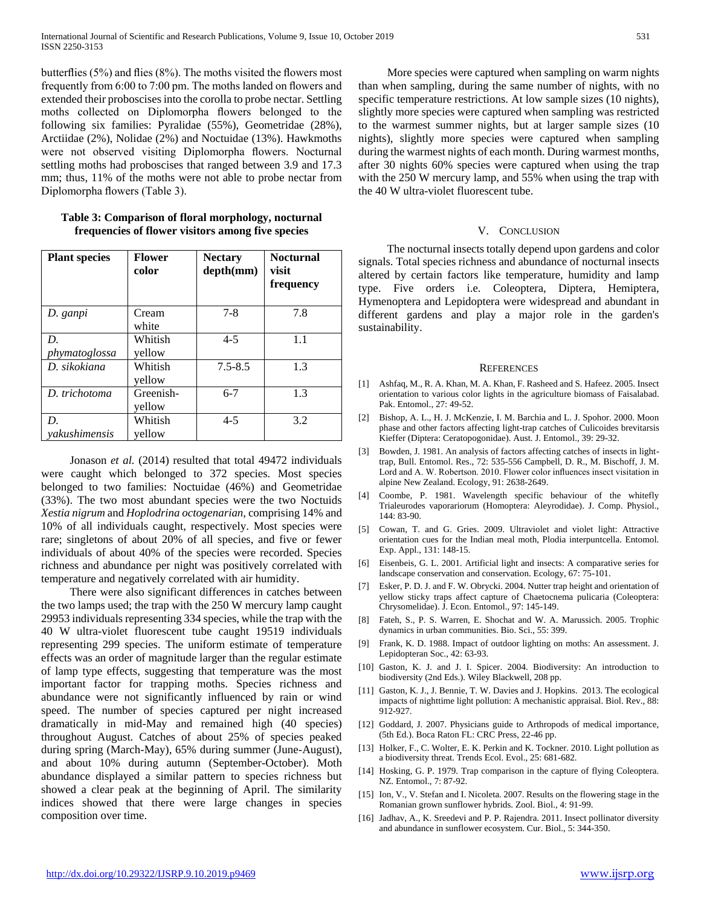butterflies (5%) and flies (8%). The moths visited the flowers most frequently from 6:00 to 7:00 pm. The moths landed on flowers and extended their proboscises into the corolla to probe nectar. Settling moths collected on Diplomorpha flowers belonged to the following six families: Pyralidae (55%), Geometridae (28%), Arctiidae (2%), Nolidae (2%) and Noctuidae (13%). Hawkmoths were not observed visiting Diplomorpha flowers. Nocturnal settling moths had proboscises that ranged between 3.9 and 17.3 mm; thus, 11% of the moths were not able to probe nectar from Diplomorpha flowers (Table 3).

| <b>Plant species</b>       | <b>Flower</b><br>color | <b>Nectary</b><br>depth(mm) | <b>Nocturnal</b><br>visit<br>frequency |
|----------------------------|------------------------|-----------------------------|----------------------------------------|
| D. ganpi                   | Cream<br>white         | $7 - 8$                     | 7.8                                    |
| D.<br>phymatoglossa        | Whitish<br>yellow      | $4 - 5$                     | 1.1                                    |
| D. sikokiana               | Whitish<br>vellow      | $7.5 - 8.5$                 | 1.3                                    |
| D. trichotoma              | Greenish-<br>yellow    | $6 - 7$                     | 1.3                                    |
| D.<br><i>vakushimensis</i> | Whitish<br>vellow      | 4-5                         | 3.2                                    |

| Table 3: Comparison of floral morphology, nocturnal |  |
|-----------------------------------------------------|--|
| frequencies of flower visitors among five species   |  |

 Jonason *et al.* (2014) resulted that total 49472 individuals were caught which belonged to 372 species. Most species belonged to two families: Noctuidae (46%) and Geometridae (33%). The two most abundant species were the two Noctuids *Xestia nigrum* and *Hoplodrina octogenarian*, comprising 14% and 10% of all individuals caught, respectively. Most species were rare; singletons of about 20% of all species, and five or fewer individuals of about 40% of the species were recorded. Species richness and abundance per night was positively correlated with temperature and negatively correlated with air humidity.

 There were also significant differences in catches between the two lamps used; the trap with the 250 W mercury lamp caught 29953 individuals representing 334 species, while the trap with the 40 W ultra-violet fluorescent tube caught 19519 individuals representing 299 species. The uniform estimate of temperature effects was an order of magnitude larger than the regular estimate of lamp type effects, suggesting that temperature was the most important factor for trapping moths. Species richness and abundance were not significantly influenced by rain or wind speed. The number of species captured per night increased dramatically in mid-May and remained high (40 species) throughout August. Catches of about 25% of species peaked during spring (March-May), 65% during summer (June-August), and about 10% during autumn (September-October). Moth abundance displayed a similar pattern to species richness but showed a clear peak at the beginning of April. The similarity indices showed that there were large changes in species composition over time.

 More species were captured when sampling on warm nights than when sampling, during the same number of nights, with no specific temperature restrictions. At low sample sizes (10 nights), slightly more species were captured when sampling was restricted to the warmest summer nights, but at larger sample sizes (10 nights), slightly more species were captured when sampling during the warmest nights of each month. During warmest months, after 30 nights 60% species were captured when using the trap with the 250 W mercury lamp, and 55% when using the trap with the 40 W ultra-violet fluorescent tube.

# V. CONCLUSION

 The nocturnal insects totally depend upon gardens and color signals. Total species richness and abundance of nocturnal insects altered by certain factors like temperature, humidity and lamp type. Five orders i.e. Coleoptera, Diptera, Hemiptera, Hymenoptera and Lepidoptera were widespread and abundant in different gardens and play a major role in the garden's sustainability.

#### **REFERENCES**

- [1] Ashfaq, M., R. A. Khan, M. A. Khan, F. Rasheed and S. Hafeez. 2005. Insect orientation to various color lights in the agriculture biomass of Faisalabad. Pak. Entomol., 27: 49-52.
- [2] Bishop, A. L., H. J. McKenzie, I. M. Barchia and L. J. Spohor. 2000. Moon phase and other factors affecting light-trap catches of Culicoides brevitarsis Kieffer (Diptera: Ceratopogonidae). Aust. J. Entomol., 39: 29-32.
- [3] Bowden, J. 1981. An analysis of factors affecting catches of insects in lighttrap, Bull. Entomol. Res., 72: 535-556 Campbell, D. R., M. Bischoff, J. M. Lord and A. W. Robertson. 2010. Flower color influences insect visitation in alpine New Zealand. Ecology, 91: 2638-2649.
- [4] Coombe, P. 1981. Wavelength specific behaviour of the whitefly Trialeurodes vaporariorum (Homoptera: Aleyrodidae). J. Comp. Physiol., 144: 83-90.
- [5] Cowan, T. and G. Gries. 2009. Ultraviolet and violet light: Attractive orientation cues for the Indian meal moth, Plodia interpuntcella. Entomol. Exp. Appl., 131: 148-15.
- [6] Eisenbeis, G. L. 2001. Artificial light and insects: A comparative series for landscape conservation and conservation. Ecology, 67: 75-101.
- [7] Esker, P. D. J. and F. W. Obrycki. 2004. Nutter trap height and orientation of yellow sticky traps affect capture of Chaetocnema pulicaria (Coleoptera: Chrysomelidae). J. Econ. Entomol., 97: 145-149.
- [8] Fateh, S., P. S. Warren, E. Shochat and W. A. Marussich. 2005. Trophic dynamics in urban communities. Bio. Sci., 55: 399.
- [9] Frank, K. D. 1988. Impact of outdoor lighting on moths: An assessment. J. Lepidopteran Soc., 42: 63-93.
- [10] Gaston, K. J. and J. I. Spicer. 2004. Biodiversity: An introduction to biodiversity (2nd Eds.). Wiley Blackwell, 208 pp.
- [11] Gaston, K. J., J. Bennie, T. W. Davies and J. Hopkins. 2013. The ecological impacts of nighttime light pollution: A mechanistic appraisal. Biol. Rev., 88: 912-927.
- [12] Goddard, J. 2007. Physicians guide to Arthropods of medical importance, (5th Ed.). Boca Raton FL: CRC Press, 22-46 pp.
- [13] Holker, F., C. Wolter, E. K. Perkin and K. Tockner. 2010. Light pollution as a biodiversity threat. Trends Ecol. Evol., 25: 681-682.
- [14] Hosking, G. P. 1979. Trap comparison in the capture of flying Coleoptera. NZ. Entomol., 7: 87-92.
- [15] Ion, V., V. Stefan and I. Nicoleta. 2007. Results on the flowering stage in the Romanian grown sunflower hybrids. Zool. Biol., 4: 91-99.
- [16] Jadhav, A., K. Sreedevi and P. P. Rajendra. 2011. Insect pollinator diversity and abundance in sunflower ecosystem. Cur. Biol., 5: 344-350.